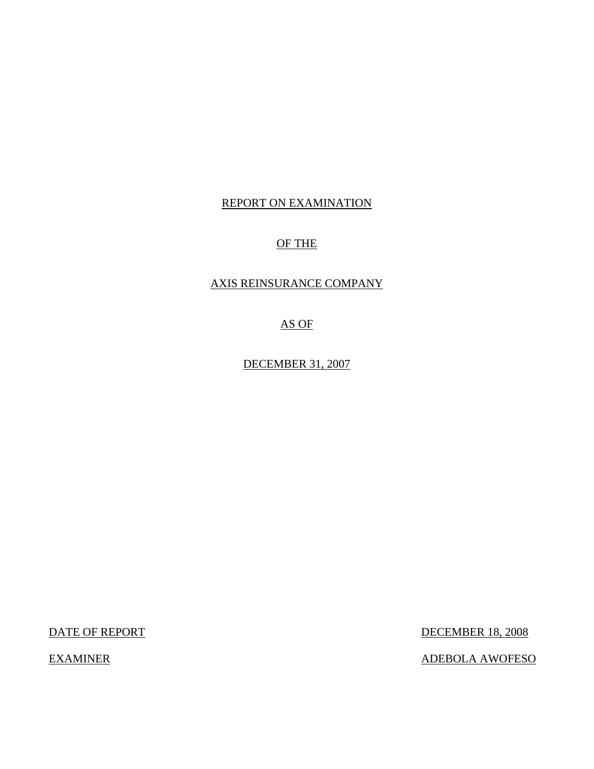#### REPORT ON EXAMINATION

### OF THE

#### AXIS REINSURANCE COMPANY

AS OF

DECEMBER 31, 2007

DATE OF REPORT DECEMBER 18, 2008

EXAMINER ADEBOLA AWOFESO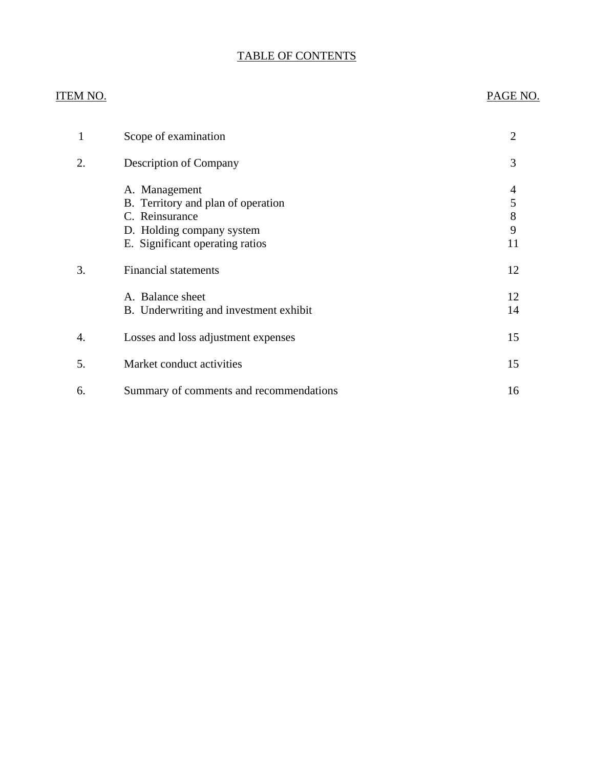## TABLE OF CONTENTS

#### ITEM NO. PAGE NO.

| 1  | Scope of examination                                                                                                                  | 2                                      |
|----|---------------------------------------------------------------------------------------------------------------------------------------|----------------------------------------|
| 2. | Description of Company                                                                                                                | 3                                      |
|    | A. Management<br>B. Territory and plan of operation<br>C. Reinsurance<br>D. Holding company system<br>E. Significant operating ratios | 4<br>$\mathfrak s$<br>$8\,$<br>9<br>11 |
| 3. | <b>Financial statements</b>                                                                                                           | 12                                     |
|    | A. Balance sheet<br>B. Underwriting and investment exhibit                                                                            | 12<br>14                               |
| 4. | Losses and loss adjustment expenses                                                                                                   | 15                                     |
| 5. | Market conduct activities                                                                                                             | 15                                     |
| 6. | Summary of comments and recommendations                                                                                               | 16                                     |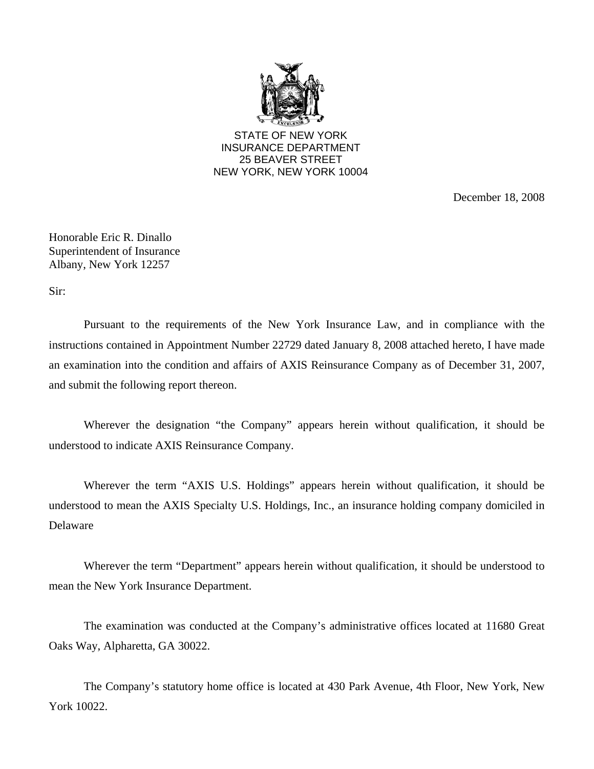

STATE OF NEW YORK INSURANCE DEPARTMENT 25 BEAVER STREET NEW YORK, NEW YORK 10004

December 18, 2008

Honorable Eric R. Dinallo Superintendent of Insurance Albany, New York 12257

Sir:

Pursuant to the requirements of the New York Insurance Law, and in compliance with the instructions contained in Appointment Number 22729 dated January 8, 2008 attached hereto, I have made an examination into the condition and affairs of AXIS Reinsurance Company as of December 31, 2007, and submit the following report thereon.

Wherever the designation "the Company" appears herein without qualification, it should be understood to indicate AXIS Reinsurance Company.

Wherever the term "AXIS U.S. Holdings" appears herein without qualification, it should be understood to mean the AXIS Specialty U.S. Holdings, Inc., an insurance holding company domiciled in Delaware

Wherever the term "Department" appears herein without qualification, it should be understood to mean the New York Insurance Department.

The examination was conducted at the Company's administrative offices located at 11680 Great Oaks Way, Alpharetta, GA 30022.

The Company's statutory home office is located at 430 Park Avenue, 4th Floor, New York, New York 10022.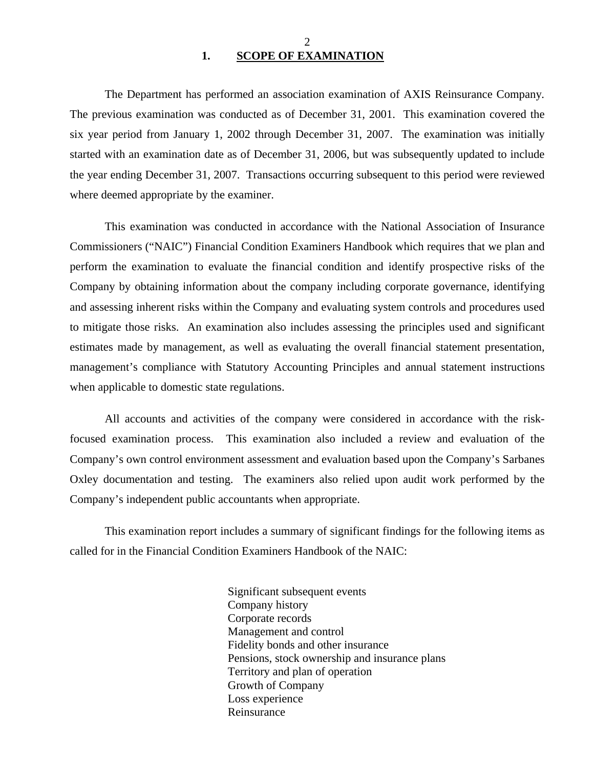#### 2 **1. SCOPE OF EXAMINATION**

<span id="page-3-0"></span>The Department has performed an association examination of AXIS Reinsurance Company*.*  The previous examination was conducted as of December 31, 2001. This examination covered the six year period from January 1, 2002 through December 31, 2007. The examination was initially started with an examination date as of December 31, 2006, but was subsequently updated to include the year ending December 31, 2007. Transactions occurring subsequent to this period were reviewed where deemed appropriate by the examiner.

This examination was conducted in accordance with the National Association of Insurance Commissioners ("NAIC") Financial Condition Examiners Handbook which requires that we plan and perform the examination to evaluate the financial condition and identify prospective risks of the Company by obtaining information about the company including corporate governance, identifying and assessing inherent risks within the Company and evaluating system controls and procedures used to mitigate those risks. An examination also includes assessing the principles used and significant estimates made by management, as well as evaluating the overall financial statement presentation, management's compliance with Statutory Accounting Principles and annual statement instructions when applicable to domestic state regulations.

All accounts and activities of the company were considered in accordance with the riskfocused examination process. This examination also included a review and evaluation of the Company's own control environment assessment and evaluation based upon the Company's Sarbanes Oxley documentation and testing. The examiners also relied upon audit work performed by the Company's independent public accountants when appropriate.

This examination report includes a summary of significant findings for the following items as called for in the Financial Condition Examiners Handbook of the NAIC:

> Significant subsequent events Company history Corporate records Management and control Fidelity bonds and other insurance Pensions, stock ownership and insurance plans Territory and plan of operation Growth of Company Loss experience Reinsurance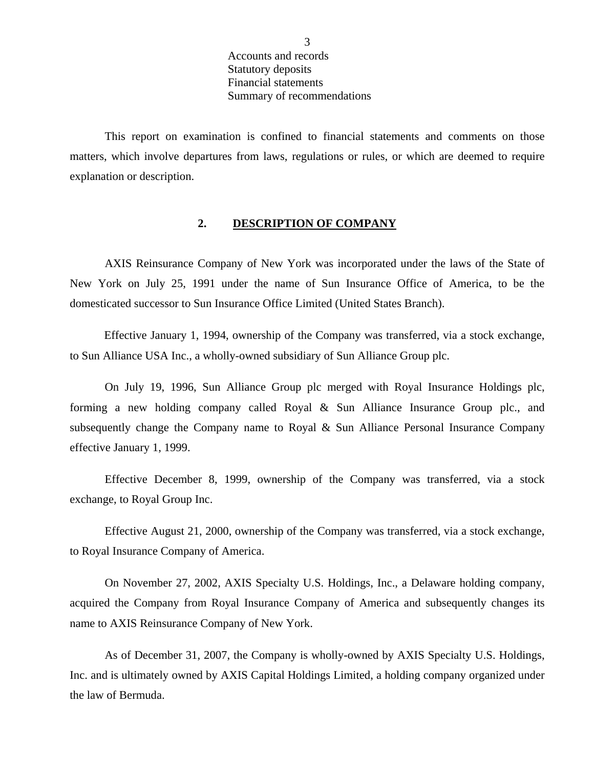Accounts and records Statutory deposits Financial statements Summary of recommendations

<span id="page-4-0"></span>This report on examination is confined to financial statements and comments on those matters, which involve departures from laws, regulations or rules, or which are deemed to require explanation or description.

#### **2. DESCRIPTION OF COMPANY**

AXIS Reinsurance Company of New York was incorporated under the laws of the State of New York on July 25, 1991 under the name of Sun Insurance Office of America, to be the domesticated successor to Sun Insurance Office Limited (United States Branch).

Effective January 1, 1994, ownership of the Company was transferred, via a stock exchange, to Sun Alliance USA Inc., a wholly-owned subsidiary of Sun Alliance Group plc.

On July 19, 1996, Sun Alliance Group plc merged with Royal Insurance Holdings plc, forming a new holding company called Royal & Sun Alliance Insurance Group plc., and subsequently change the Company name to Royal & Sun Alliance Personal Insurance Company effective January 1, 1999.

Effective December 8, 1999, ownership of the Company was transferred, via a stock exchange, to Royal Group Inc.

Effective August 21, 2000, ownership of the Company was transferred, via a stock exchange, to Royal Insurance Company of America.

On November 27, 2002, AXIS Specialty U.S. Holdings, Inc., a Delaware holding company, acquired the Company from Royal Insurance Company of America and subsequently changes its name to AXIS Reinsurance Company of New York.

As of December 31, 2007, the Company is wholly-owned by AXIS Specialty U.S. Holdings, Inc. and is ultimately owned by AXIS Capital Holdings Limited, a holding company organized under the law of Bermuda.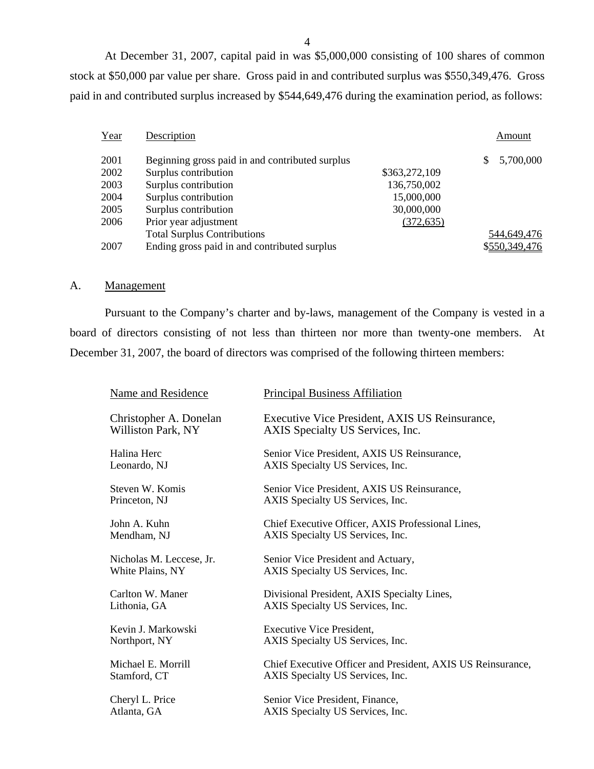At December 31, 2007, capital paid in was \$5,000,000 consisting of 100 shares of common stock at \$50,000 par value per share. Gross paid in and contributed surplus was \$550,349,476. Gross paid in and contributed surplus increased by \$544,649,476 during the examination period, as follows:

| Year | Description                                     |               |   | Amount        |
|------|-------------------------------------------------|---------------|---|---------------|
| 2001 | Beginning gross paid in and contributed surplus |               | S | 5,700,000     |
| 2002 | Surplus contribution                            | \$363,272,109 |   |               |
| 2003 | Surplus contribution                            | 136,750,002   |   |               |
| 2004 | Surplus contribution                            | 15,000,000    |   |               |
| 2005 | Surplus contribution                            | 30,000,000    |   |               |
| 2006 | Prior year adjustment                           | (372, 635)    |   |               |
|      | <b>Total Surplus Contributions</b>              |               |   | 544,649,476   |
| 2007 | Ending gross paid in and contributed surplus    |               |   | \$550,349,476 |

#### A. Management

Pursuant to the Company's charter and by-laws, management of the Company is vested in a board of directors consisting of not less than thirteen nor more than twenty-one members. At December 31, 2007, the board of directors was comprised of the following thirteen members:

| Name and Residence       | <b>Principal Business Affiliation</b>                       |
|--------------------------|-------------------------------------------------------------|
| Christopher A. Donelan   | Executive Vice President, AXIS US Reinsurance,              |
| Williston Park, NY       | AXIS Specialty US Services, Inc.                            |
| Halina Herc              | Senior Vice President, AXIS US Reinsurance,                 |
| Leonardo, NJ             | AXIS Specialty US Services, Inc.                            |
| Steven W. Komis          | Senior Vice President, AXIS US Reinsurance,                 |
| Princeton, NJ            | AXIS Specialty US Services, Inc.                            |
| John A. Kuhn             | Chief Executive Officer, AXIS Professional Lines,           |
| Mendham, NJ              | AXIS Specialty US Services, Inc.                            |
| Nicholas M. Leccese, Jr. | Senior Vice President and Actuary,                          |
| White Plains, NY         | AXIS Specialty US Services, Inc.                            |
| Carlton W. Maner         | Divisional President, AXIS Specialty Lines,                 |
| Lithonia, GA             | AXIS Specialty US Services, Inc.                            |
| Kevin J. Markowski       | <b>Executive Vice President,</b>                            |
| Northport, NY            | AXIS Specialty US Services, Inc.                            |
| Michael E. Morrill       | Chief Executive Officer and President, AXIS US Reinsurance, |
| Stamford, CT             | AXIS Specialty US Services, Inc.                            |
| Cheryl L. Price          | Senior Vice President, Finance,                             |
| Atlanta, GA              | AXIS Specialty US Services, Inc.                            |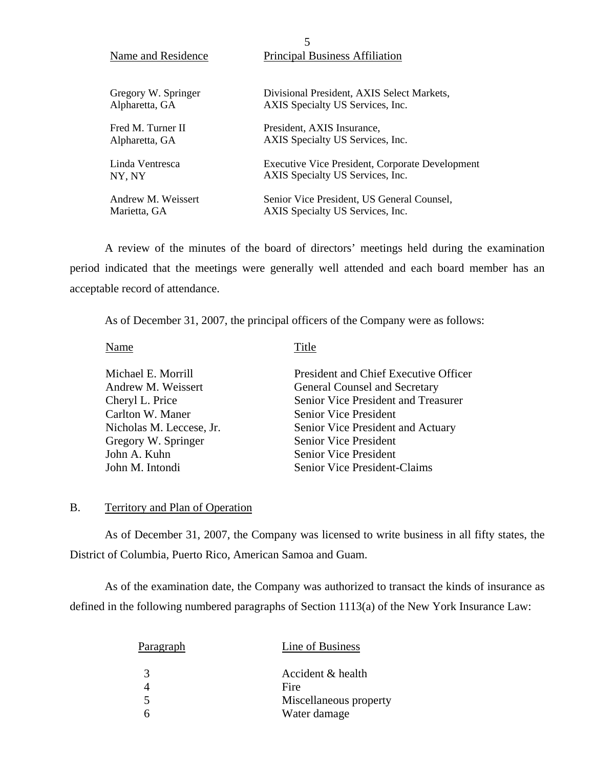| 5                                                           |                                                 |  |  |
|-------------------------------------------------------------|-------------------------------------------------|--|--|
| <b>Principal Business Affiliation</b><br>Name and Residence |                                                 |  |  |
|                                                             |                                                 |  |  |
| Gregory W. Springer                                         | Divisional President, AXIS Select Markets,      |  |  |
| Alpharetta, GA                                              | AXIS Specialty US Services, Inc.                |  |  |
| Fred M. Turner II<br>President, AXIS Insurance,             |                                                 |  |  |
| Alpharetta, GA                                              | AXIS Specialty US Services, Inc.                |  |  |
| Linda Ventresca                                             | Executive Vice President, Corporate Development |  |  |
| NY. NY                                                      | AXIS Specialty US Services, Inc.                |  |  |
| Andrew M. Weissert                                          | Senior Vice President, US General Counsel,      |  |  |
| Marietta, GA                                                | AXIS Specialty US Services, Inc.                |  |  |

A review of the minutes of the board of directors' meetings held during the examination period indicated that the meetings were generally well attended and each board member has an acceptable record of attendance.

As of December 31, 2007, the principal officers of the Company were as follows:

Name Title

| Michael E. Morrill       | President and Chief Executive Officer |
|--------------------------|---------------------------------------|
| Andrew M. Weissert       | General Counsel and Secretary         |
| Cheryl L. Price          | Senior Vice President and Treasurer   |
| Carlton W. Maner         | <b>Senior Vice President</b>          |
| Nicholas M. Leccese, Jr. | Senior Vice President and Actuary     |
| Gregory W. Springer      | <b>Senior Vice President</b>          |
| John A. Kuhn             | <b>Senior Vice President</b>          |
| John M. Intondi          | Senior Vice President-Claims          |

#### B. Territory and Plan of Operation

As of December 31, 2007, the Company was licensed to write business in all fifty states, the District of Columbia, Puerto Rico, American Samoa and Guam.

As of the examination date, the Company was authorized to transact the kinds of insurance as defined in the following numbered paragraphs of Section 1113(a) of the New York Insurance Law:

| <b>Paragraph</b>        | Line of Business       |
|-------------------------|------------------------|
| 3                       | Accident & health      |
|                         | Fire                   |
| $\overline{\mathbf{5}}$ | Miscellaneous property |
|                         | Water damage           |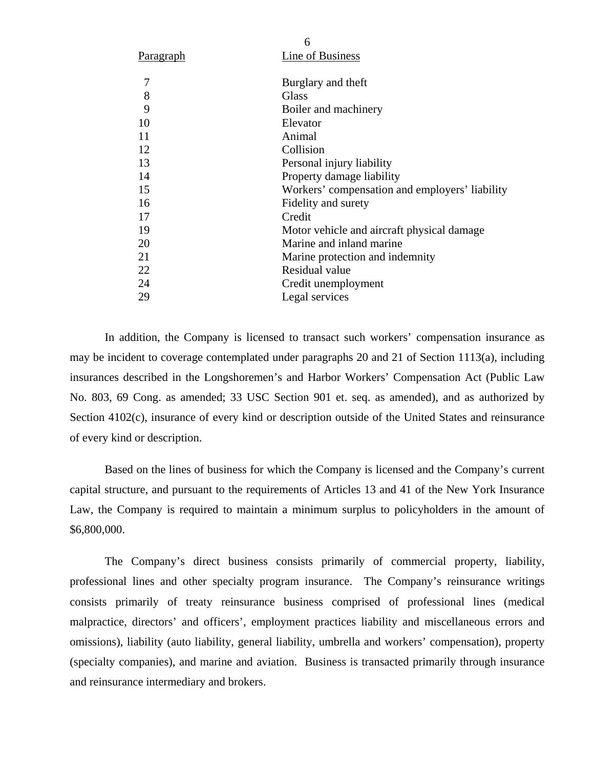| <b>Paragraph</b> | Line of Business                               |
|------------------|------------------------------------------------|
| 7                | Burglary and theft                             |
| 8                | <b>Glass</b>                                   |
| 9                | Boiler and machinery                           |
| 10               | Elevator                                       |
| 11               | Animal                                         |
| 12               | Collision                                      |
| 13               | Personal injury liability                      |
| 14               | Property damage liability                      |
| 15               | Workers' compensation and employers' liability |
| 16               | Fidelity and surety                            |
| 17               | Credit                                         |
| 19               | Motor vehicle and aircraft physical damage     |
| 20               | Marine and inland marine                       |
| 21               | Marine protection and indemnity                |
| 22               | Residual value                                 |
| 24               | Credit unemployment                            |
| 29               | Legal services                                 |

6

In addition, the Company is licensed to transact such workers' compensation insurance as may be incident to coverage contemplated under paragraphs 20 and 21 of Section 1113(a), including insurances described in the Longshoremen's and Harbor Workers' Compensation Act (Public Law No. 803, 69 Cong. as amended; 33 USC Section 901 et. seq. as amended), and as authorized by Section 4102(c), insurance of every kind or description outside of the United States and reinsurance of every kind or description.

Based on the lines of business for which the Company is licensed and the Company's current capital structure, and pursuant to the requirements of Articles 13 and 41 of the New York Insurance Law, the Company is required to maintain a minimum surplus to policyholders in the amount of \$6,800,000.

The Company's direct business consists primarily of commercial property, liability, professional lines and other specialty program insurance. The Company's reinsurance writings consists primarily of treaty reinsurance business comprised of professional lines (medical malpractice, directors' and officers', employment practices liability and miscellaneous errors and omissions), liability (auto liability, general liability, umbrella and workers' compensation), property (specialty companies), and marine and aviation. Business is transacted primarily through insurance and reinsurance intermediary and brokers.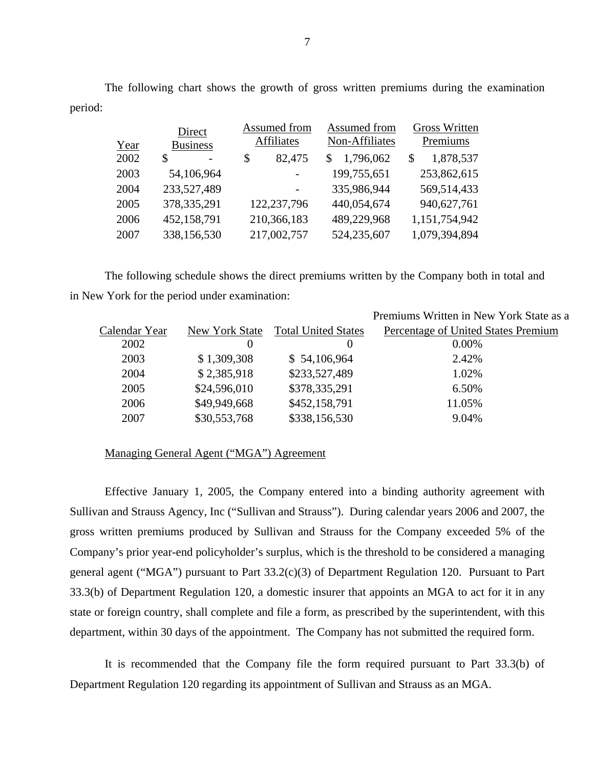The following chart shows the growth of gross written premiums during the examination period:

|      | Direct                  | Assumed from      | Assumed from   | <b>Gross Written</b> |
|------|-------------------------|-------------------|----------------|----------------------|
| Year | <b>Business</b>         | <b>Affiliates</b> | Non-Affiliates | Premiums             |
| 2002 | \$<br>$\qquad \qquad -$ | 82,475<br>\$      | 1,796,062      | 1,878,537<br>S       |
| 2003 | 54,106,964              |                   | 199,755,651    | 253,862,615          |
| 2004 | 233,527,489             |                   | 335,986,944    | 569,514,433          |
| 2005 | 378, 335, 291           | 122,237,796       | 440,054,674    | 940,627,761          |
| 2006 | 452,158,791             | 210,366,183       | 489,229,968    | 1,151,754,942        |
| 2007 | 338,156,530             | 217,002,757       | 524,235,607    | 1,079,394,894        |

The following schedule shows the direct premiums written by the Company both in total and in New York for the period under examination:

|                |                            | Premiums Written in New York State as a |
|----------------|----------------------------|-----------------------------------------|
| New York State | <b>Total United States</b> | Percentage of United States Premium     |
| $\Omega$       | $\theta$                   | $0.00\%$                                |
| \$1,309,308    | \$54,106,964               | 2.42%                                   |
| \$2,385,918    | \$233,527,489              | 1.02%                                   |
| \$24,596,010   | \$378,335,291              | 6.50%                                   |
| \$49,949,668   | \$452,158,791              | 11.05%                                  |
|                |                            | 9.04%                                   |
|                |                            | \$30,553,768<br>\$338,156,530           |

#### Managing General Agent ("MGA") Agreement

Effective January 1, 2005, the Company entered into a binding authority agreement with Sullivan and Strauss Agency, Inc ("Sullivan and Strauss"). During calendar years 2006 and 2007, the gross written premiums produced by Sullivan and Strauss for the Company exceeded 5% of the Company's prior year-end policyholder's surplus, which is the threshold to be considered a managing general agent ("MGA") pursuant to Part 33.2(c)(3) of Department Regulation 120. Pursuant to Part 33.3(b) of Department Regulation 120, a domestic insurer that appoints an MGA to act for it in any state or foreign country, shall complete and file a form, as prescribed by the superintendent, with this department, within 30 days of the appointment. The Company has not submitted the required form.

It is recommended that the Company file the form required pursuant to Part 33.3(b) of Department Regulation 120 regarding its appointment of Sullivan and Strauss as an MGA.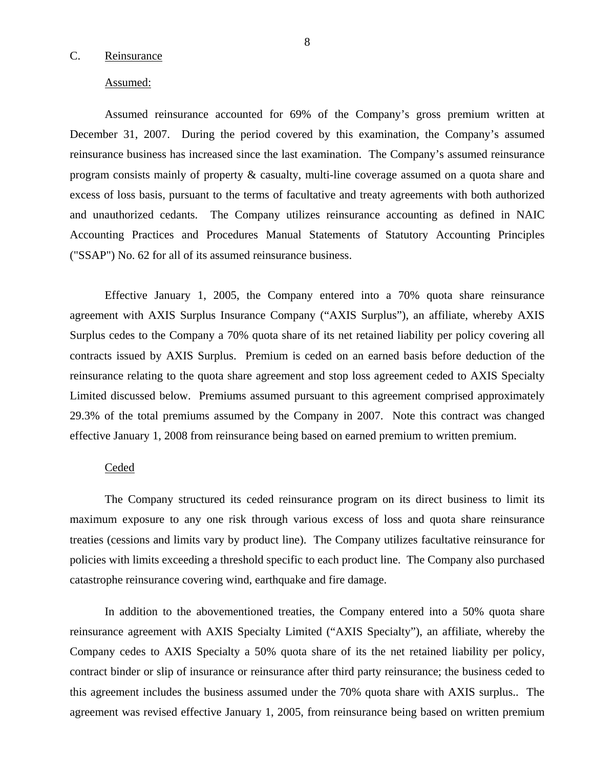#### <span id="page-9-0"></span>C. Reinsurance

#### Assumed:

Assumed reinsurance accounted for 69% of the Company's gross premium written at December 31, 2007. During the period covered by this examination, the Company's assumed reinsurance business has increased since the last examination. The Company's assumed reinsurance program consists mainly of property & casualty, multi-line coverage assumed on a quota share and excess of loss basis, pursuant to the terms of facultative and treaty agreements with both authorized and unauthorized cedants. The Company utilizes reinsurance accounting as defined in NAIC Accounting Practices and Procedures Manual Statements of Statutory Accounting Principles ("SSAP") No. 62 for all of its assumed reinsurance business.

Effective January 1, 2005, the Company entered into a 70% quota share reinsurance agreement with AXIS Surplus Insurance Company ("AXIS Surplus"), an affiliate, whereby AXIS Surplus cedes to the Company a 70% quota share of its net retained liability per policy covering all contracts issued by AXIS Surplus. Premium is ceded on an earned basis before deduction of the reinsurance relating to the quota share agreement and stop loss agreement ceded to AXIS Specialty Limited discussed below. Premiums assumed pursuant to this agreement comprised approximately 29.3% of the total premiums assumed by the Company in 2007. Note this contract was changed effective January 1, 2008 from reinsurance being based on earned premium to written premium.

#### Ceded

The Company structured its ceded reinsurance program on its direct business to limit its maximum exposure to any one risk through various excess of loss and quota share reinsurance treaties (cessions and limits vary by product line). The Company utilizes facultative reinsurance for policies with limits exceeding a threshold specific to each product line. The Company also purchased catastrophe reinsurance covering wind, earthquake and fire damage.

In addition to the abovementioned treaties, the Company entered into a 50% quota share reinsurance agreement with AXIS Specialty Limited ("AXIS Specialty"), an affiliate, whereby the Company cedes to AXIS Specialty a 50% quota share of its the net retained liability per policy, contract binder or slip of insurance or reinsurance after third party reinsurance; the business ceded to this agreement includes the business assumed under the 70% quota share with AXIS surplus.. The agreement was revised effective January 1, 2005, from reinsurance being based on written premium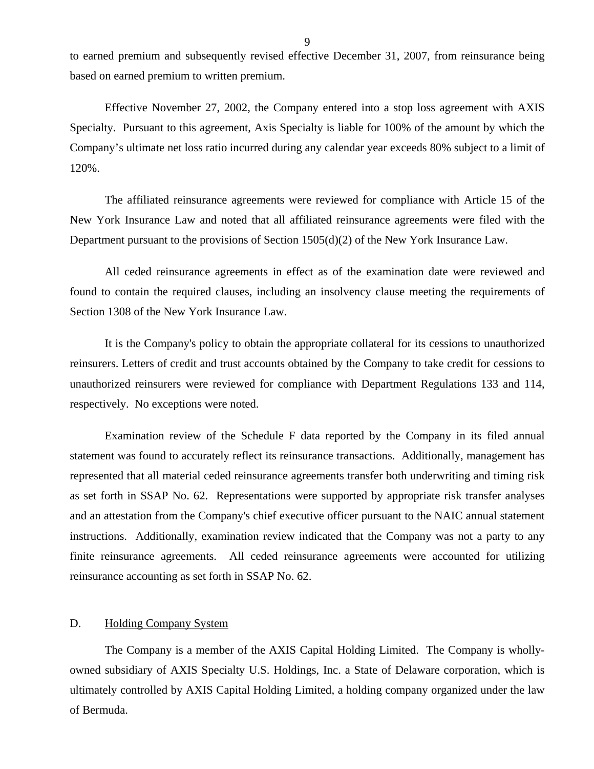<span id="page-10-0"></span>to earned premium and subsequently revised effective December 31, 2007, from reinsurance being based on earned premium to written premium.

Effective November 27, 2002, the Company entered into a stop loss agreement with AXIS Specialty. Pursuant to this agreement, Axis Specialty is liable for 100% of the amount by which the Company's ultimate net loss ratio incurred during any calendar year exceeds 80% subject to a limit of 120%.

The affiliated reinsurance agreements were reviewed for compliance with Article 15 of the New York Insurance Law and noted that all affiliated reinsurance agreements were filed with the Department pursuant to the provisions of Section 1505(d)(2) of the New York Insurance Law.

All ceded reinsurance agreements in effect as of the examination date were reviewed and found to contain the required clauses, including an insolvency clause meeting the requirements of Section 1308 of the New York Insurance Law.

It is the Company's policy to obtain the appropriate collateral for its cessions to unauthorized reinsurers. Letters of credit and trust accounts obtained by the Company to take credit for cessions to unauthorized reinsurers were reviewed for compliance with Department Regulations 133 and 114, respectively. No exceptions were noted.

Examination review of the Schedule F data reported by the Company in its filed annual statement was found to accurately reflect its reinsurance transactions. Additionally, management has represented that all material ceded reinsurance agreements transfer both underwriting and timing risk as set forth in SSAP No. 62. Representations were supported by appropriate risk transfer analyses and an attestation from the Company's chief executive officer pursuant to the NAIC annual statement instructions. Additionally, examination review indicated that the Company was not a party to any finite reinsurance agreements. All ceded reinsurance agreements were accounted for utilizing reinsurance accounting as set forth in SSAP No. 62.

#### D. Holding Company System

The Company is a member of the AXIS Capital Holding Limited. The Company is whollyowned subsidiary of AXIS Specialty U.S. Holdings, Inc. a State of Delaware corporation, which is ultimately controlled by AXIS Capital Holding Limited, a holding company organized under the law of Bermuda.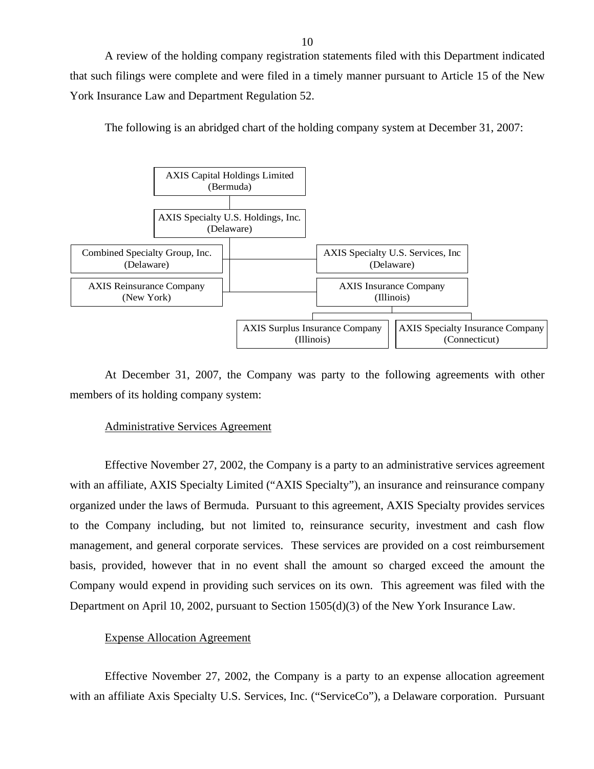A review of the holding company registration statements filed with this Department indicated that such filings were complete and were filed in a timely manner pursuant to Article 15 of the New York Insurance Law and Department Regulation 52.





At December 31, 2007, the Company was party to the following agreements with other members of its holding company system:

#### Administrative Services Agreement

Effective November 27, 2002, the Company is a party to an administrative services agreement with an affiliate, AXIS Specialty Limited ("AXIS Specialty"), an insurance and reinsurance company organized under the laws of Bermuda. Pursuant to this agreement, AXIS Specialty provides services to the Company including, but not limited to, reinsurance security, investment and cash flow management, and general corporate services. These services are provided on a cost reimbursement basis, provided, however that in no event shall the amount so charged exceed the amount the Company would expend in providing such services on its own. This agreement was filed with the Department on April 10, 2002, pursuant to Section 1505(d)(3) of the New York Insurance Law.

#### Expense Allocation Agreement

Effective November 27, 2002, the Company is a party to an expense allocation agreement with an affiliate Axis Specialty U.S. Services, Inc. ("ServiceCo"), a Delaware corporation. Pursuant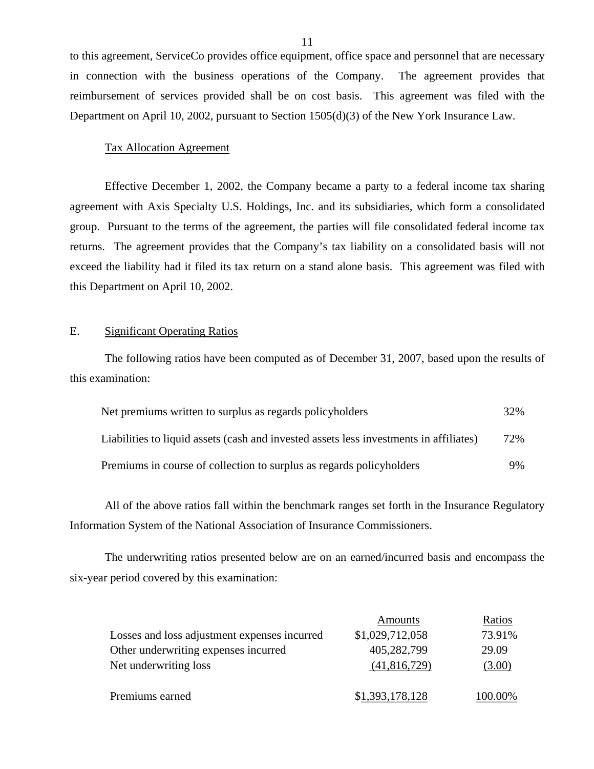to this agreement, ServiceCo provides office equipment, office space and personnel that are necessary in connection with the business operations of the Company. The agreement provides that reimbursement of services provided shall be on cost basis. This agreement was filed with the Department on April 10, 2002, pursuant to Section 1505(d)(3) of the New York Insurance Law.

#### Tax Allocation Agreement

Effective December 1, 2002, the Company became a party to a federal income tax sharing agreement with Axis Specialty U.S. Holdings, Inc. and its subsidiaries, which form a consolidated group. Pursuant to the terms of the agreement, the parties will file consolidated federal income tax returns. The agreement provides that the Company's tax liability on a consolidated basis will not exceed the liability had it filed its tax return on a stand alone basis. This agreement was filed with this Department on April 10, 2002.

#### E. Significant Operating Ratios

The following ratios have been computed as of December 31, 2007, based upon the results of this examination:

| Net premiums written to surplus as regards policyholders                               | 32% |
|----------------------------------------------------------------------------------------|-----|
| Liabilities to liquid assets (cash and invested assets less investments in affiliates) | 72% |
| Premiums in course of collection to surplus as regards policyholders                   | 9%  |

All of the above ratios fall within the benchmark ranges set forth in the Insurance Regulatory Information System of the National Association of Insurance Commissioners.

The underwriting ratios presented below are on an earned/incurred basis and encompass the six-year period covered by this examination:

|                                              | Amounts         | Ratios  |
|----------------------------------------------|-----------------|---------|
| Losses and loss adjustment expenses incurred | \$1,029,712,058 | 73.91%  |
| Other underwriting expenses incurred         | 405,282,799     | 29.09   |
| Net underwriting loss                        | (41,816,729)    | (3.00)  |
|                                              |                 |         |
| Premiums earned                              | \$1,393,178,128 | 100.00% |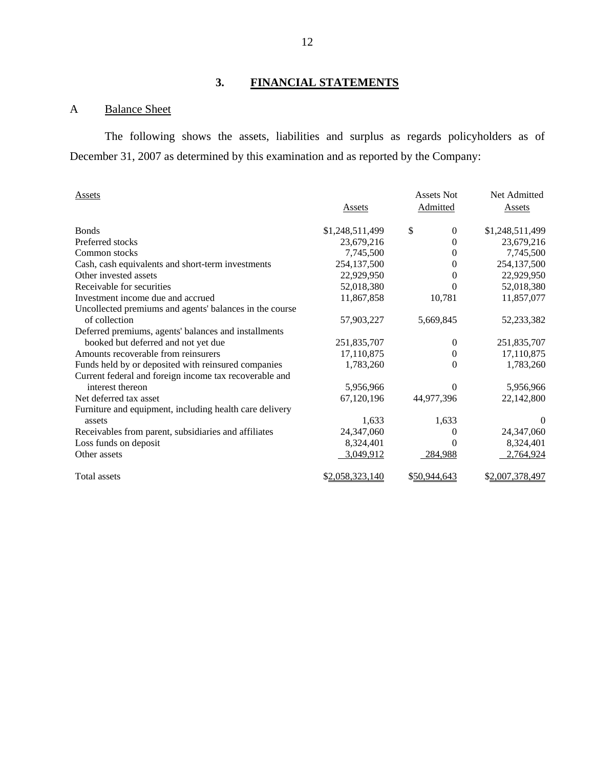# **3. FINANCIAL STATEMENTS**

### A Balance Sheet

The following shows the assets, liabilities and surplus as regards policyholders as of December 31, 2007 as determined by this examination and as reported by the Company:

| <b>Assets</b>                                           |                 | <b>Assets Not</b>      | Net Admitted    |
|---------------------------------------------------------|-----------------|------------------------|-----------------|
|                                                         | Assets          | Admitted               | Assets          |
| <b>Bonds</b>                                            | \$1,248,511,499 | \$<br>$\boldsymbol{0}$ | \$1,248,511,499 |
| Preferred stocks                                        | 23,679,216      | $\Omega$               | 23,679,216      |
| Common stocks                                           | 7,745,500       | 0                      | 7,745,500       |
| Cash, cash equivalents and short-term investments       | 254,137,500     | $\Omega$               | 254,137,500     |
| Other invested assets                                   | 22,929,950      | 0                      | 22,929,950      |
| Receivable for securities                               | 52,018,380      | 0                      | 52,018,380      |
| Investment income due and accrued                       | 11,867,858      | 10,781                 | 11,857,077      |
| Uncollected premiums and agents' balances in the course |                 |                        |                 |
| of collection                                           | 57,903,227      | 5,669,845              | 52,233,382      |
| Deferred premiums, agents' balances and installments    |                 |                        |                 |
| booked but deferred and not yet due                     | 251,835,707     | 0                      | 251,835,707     |
| Amounts recoverable from reinsurers                     | 17,110,875      | 0                      | 17,110,875      |
| Funds held by or deposited with reinsured companies     | 1,783,260       | $\Omega$               | 1,783,260       |
| Current federal and foreign income tax recoverable and  |                 |                        |                 |
| interest thereon                                        | 5,956,966       | $\Omega$               | 5,956,966       |
| Net deferred tax asset                                  | 67,120,196      | 44,977,396             | 22,142,800      |
| Furniture and equipment, including health care delivery |                 |                        |                 |
| assets                                                  | 1,633           | 1,633                  | $\theta$        |
| Receivables from parent, subsidiaries and affiliates    | 24,347,060      | 0                      | 24,347,060      |
| Loss funds on deposit                                   | 8,324,401       | 0                      | 8,324,401       |
| Other assets                                            | 3,049,912       | 284,988                | 2,764,924       |
| Total assets                                            | \$2,058,323,140 | \$50,944,643           | \$2,007,378,497 |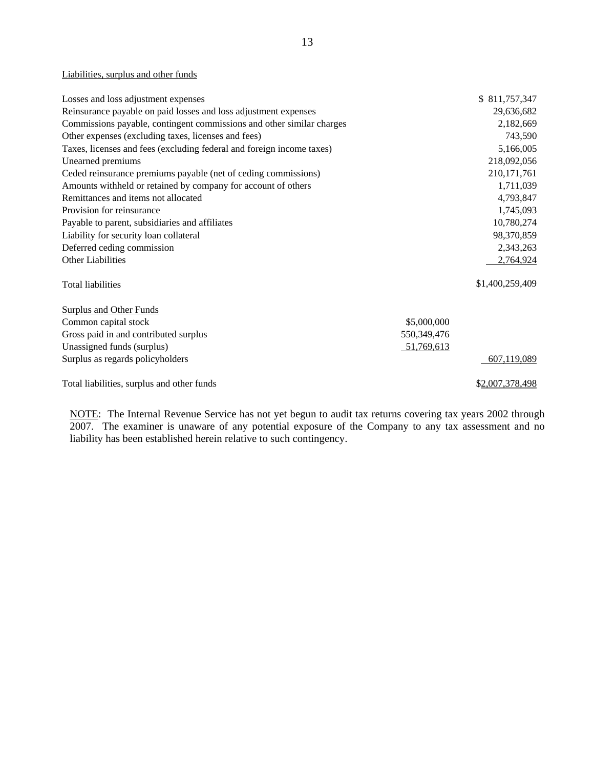#### Liabilities, surplus and other funds

| Losses and loss adjustment expenses                                   | \$811,757,347   |
|-----------------------------------------------------------------------|-----------------|
| Reinsurance payable on paid losses and loss adjustment expenses       | 29,636,682      |
| Commissions payable, contingent commissions and other similar charges | 2,182,669       |
| Other expenses (excluding taxes, licenses and fees)                   | 743,590         |
| Taxes, licenses and fees (excluding federal and foreign income taxes) | 5,166,005       |
| Unearned premiums                                                     | 218,092,056     |
| Ceded reinsurance premiums payable (net of ceding commissions)        | 210, 171, 761   |
| Amounts withheld or retained by company for account of others         | 1,711,039       |
| Remittances and items not allocated                                   | 4,793,847       |
| Provision for reinsurance                                             | 1,745,093       |
| Payable to parent, subsidiaries and affiliates                        | 10,780,274      |
| Liability for security loan collateral                                | 98,370,859      |
| Deferred ceding commission                                            | 2,343,263       |
| Other Liabilities                                                     | 2,764,924       |
| Total liabilities                                                     | \$1,400,259,409 |
| <b>Surplus and Other Funds</b>                                        |                 |
| Common capital stock                                                  | \$5,000,000     |
| Gross paid in and contributed surplus                                 | 550,349,476     |
| Unassigned funds (surplus)                                            | 51,769,613      |
| Surplus as regards policyholders                                      | 607,119,089     |
| Total liabilities, surplus and other funds                            | \$2,007,378,498 |

NOTE: The Internal Revenue Service has not yet begun to audit tax returns covering tax years 2002 through 2007. The examiner is unaware of any potential exposure of the Company to any tax assessment and no liability has been established herein relative to such contingency.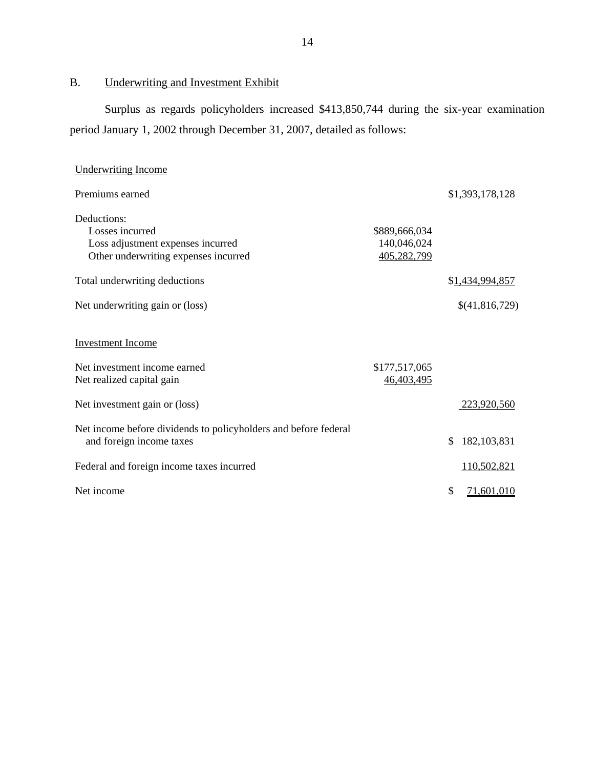B. Underwriting and Investment Exhibit

Surplus as regards policyholders increased \$413,850,744 during the six-year examination period January 1, 2002 through December 31, 2007, detailed as follows:

| <b>Underwriting Income</b>                                                                                  |                                             |                     |
|-------------------------------------------------------------------------------------------------------------|---------------------------------------------|---------------------|
| Premiums earned                                                                                             |                                             | \$1,393,178,128     |
| Deductions:<br>Losses incurred<br>Loss adjustment expenses incurred<br>Other underwriting expenses incurred | \$889,666,034<br>140,046,024<br>405,282,799 |                     |
| Total underwriting deductions                                                                               |                                             | \$1,434,994,857     |
| Net underwriting gain or (loss)                                                                             |                                             | \$(41,816,729)      |
| <b>Investment Income</b><br>Net investment income earned                                                    | \$177,517,065                               |                     |
| Net realized capital gain<br>Net investment gain or (loss)                                                  | 46,403,495                                  | 223,920,560         |
| Net income before dividends to policyholders and before federal<br>and foreign income taxes                 |                                             | 182, 103, 831<br>\$ |
| Federal and foreign income taxes incurred                                                                   |                                             | 110,502,821         |
| Net income                                                                                                  |                                             | \$<br>71,601,010    |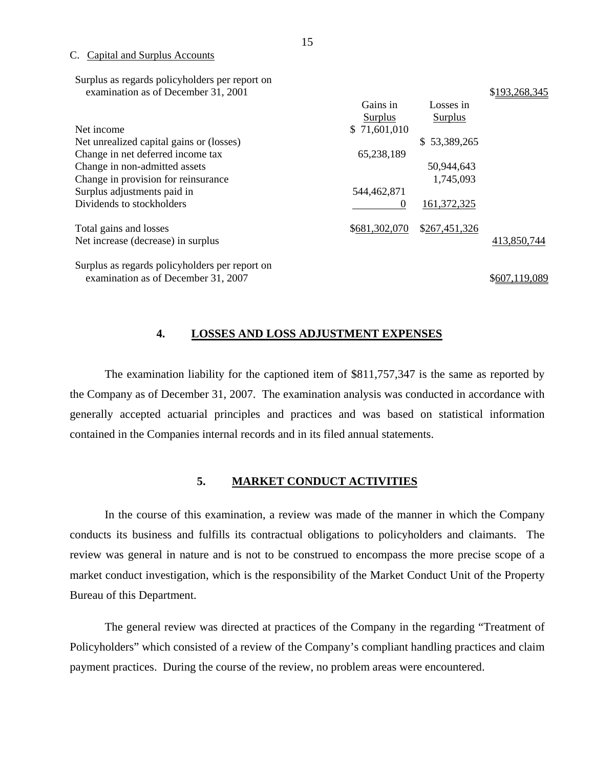C. Capital and Surplus Accounts

| Surplus as regards policyholders per report on |  |
|------------------------------------------------|--|
| examination as of December 31, 2001            |  |

|                                                | Gains in      | Losses in     |               |
|------------------------------------------------|---------------|---------------|---------------|
|                                                | Surplus       | Surplus       |               |
| Net income                                     | \$71,601,010  |               |               |
| Net unrealized capital gains or (losses)       |               | \$53,389,265  |               |
| Change in net deferred income tax              | 65,238,189    |               |               |
| Change in non-admitted assets                  |               | 50,944,643    |               |
| Change in provision for reinsurance            |               | 1,745,093     |               |
| Surplus adjustments paid in                    | 544,462,871   |               |               |
| Dividends to stockholders                      | $\theta$      | 161,372,325   |               |
| Total gains and losses                         | \$681,302,070 | \$267,451,326 |               |
| Net increase (decrease) in surplus             |               |               | 413,850,744   |
| Surplus as regards policyholders per report on |               |               |               |
| examination as of December 31, 2007            |               |               | \$607,119,089 |

#### **4. LOSSES AND LOSS ADJUSTMENT EXPENSES**

The examination liability for the captioned item of \$811,757,347 is the same as reported by the Company as of December 31, 2007. The examination analysis was conducted in accordance with generally accepted actuarial principles and practices and was based on statistical information contained in the Companies internal records and in its filed annual statements.

#### **5. MARKET CONDUCT ACTIVITIES**

In the course of this examination, a review was made of the manner in which the Company conducts its business and fulfills its contractual obligations to policyholders and claimants. The review was general in nature and is not to be construed to encompass the more precise scope of a market conduct investigation, which is the responsibility of the Market Conduct Unit of the Property Bureau of this Department.

The general review was directed at practices of the Company in the regarding "Treatment of Policyholders" which consisted of a review of the Company's compliant handling practices and claim payment practices. During the course of the review, no problem areas were encountered.

\$193, 268, 345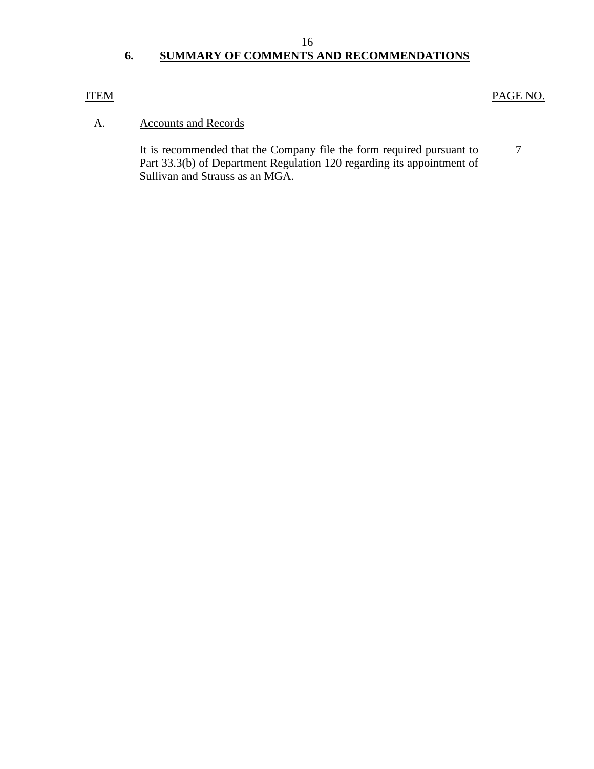# **6. SUMMARY OF COMMENTS AND RECOMMENDATIONS**

#### ITEM

#### PAGE NO.

#### A. Accounts and Records

It is recommended that the Company file the form required pursuant to Part 33.3(b) of Department Regulation 120 regarding its appointment of Sullivan and Strauss as an MGA. 7

16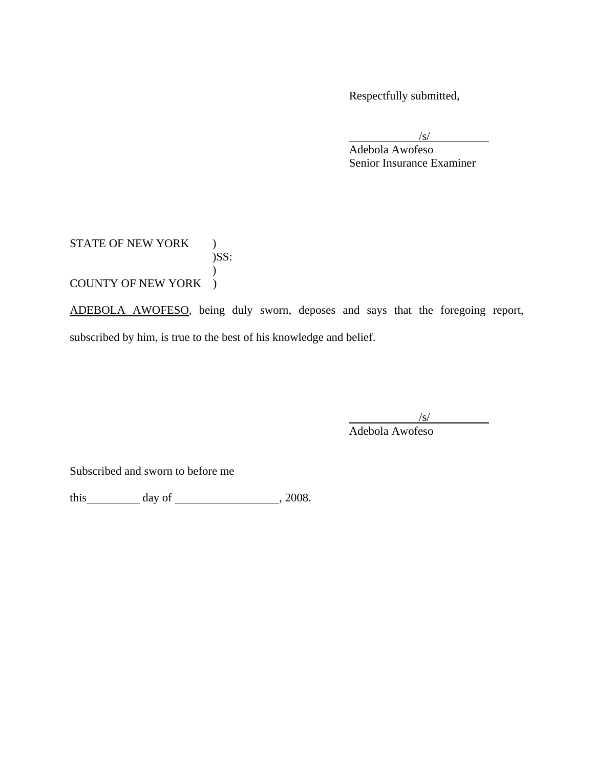Respectfully submitted,

 $\sqrt{s}$ /s/

 Adebola Awofeso Senior Insurance Examiner

#### STATE OF NEW YORK )  $)$ SS:  $\overline{)}$ COUNTY OF NEW YORK )

ADEBOLA AWOFESO, being duly sworn, deposes and says that the foregoing report, subscribed by him, is true to the best of his knowledge and belief.

 $\sqrt{s}$ /s/ Adebola Awofeso

Subscribed and sworn to before me

this  $\qquad \qquad \text{day of} \qquad \qquad 2008.$